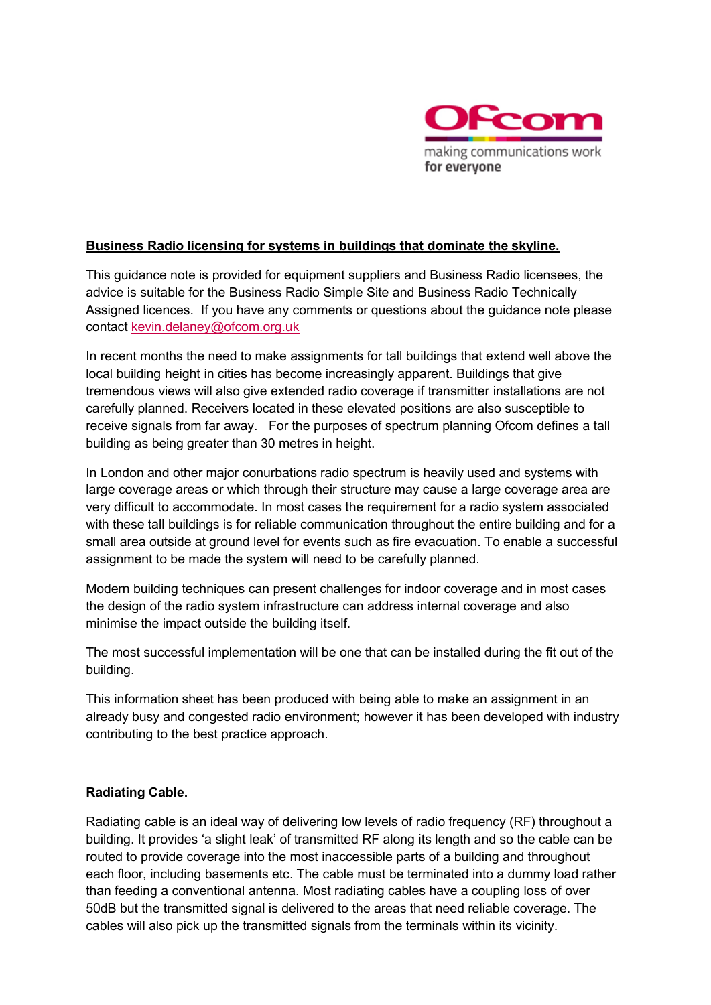

#### **Business Radio licensing for systems in buildings that dominate the skyline.**

This guidance note is provided for equipment suppliers and Business Radio licensees, the advice is suitable for the Business Radio Simple Site and Business Radio Technically Assigned licences. If you have any comments or questions about the guidance note please contact kevin.delaney@ofcom.org.uk

In recent months the need to make assignments for tall buildings that extend well above the local building height in cities has become increasingly apparent. Buildings that give tremendous views will also give extended radio coverage if transmitter installations are not carefully planned. Receivers located in these elevated positions are also susceptible to receive signals from far away. For the purposes of spectrum planning Ofcom defines a tall building as being greater than 30 metres in height.

In London and other major conurbations radio spectrum is heavily used and systems with large coverage areas or which through their structure may cause a large coverage area are very difficult to accommodate. In most cases the requirement for a radio system associated with these tall buildings is for reliable communication throughout the entire building and for a small area outside at ground level for events such as fire evacuation. To enable a successful assignment to be made the system will need to be carefully planned.

Modern building techniques can present challenges for indoor coverage and in most cases the design of the radio system infrastructure can address internal coverage and also minimise the impact outside the building itself.

The most successful implementation will be one that can be installed during the fit out of the building.

This information sheet has been produced with being able to make an assignment in an already busy and congested radio environment; however it has been developed with industry contributing to the best practice approach.

### **Radiating Cable.**

Radiating cable is an ideal way of delivering low levels of radio frequency (RF) throughout a building. It provides 'a slight leak' of transmitted RF along its length and so the cable can be routed to provide coverage into the most inaccessible parts of a building and throughout each floor, including basements etc. The cable must be terminated into a dummy load rather than feeding a conventional antenna. Most radiating cables have a coupling loss of over 50dB but the transmitted signal is delivered to the areas that need reliable coverage. The cables will also pick up the transmitted signals from the terminals within its vicinity.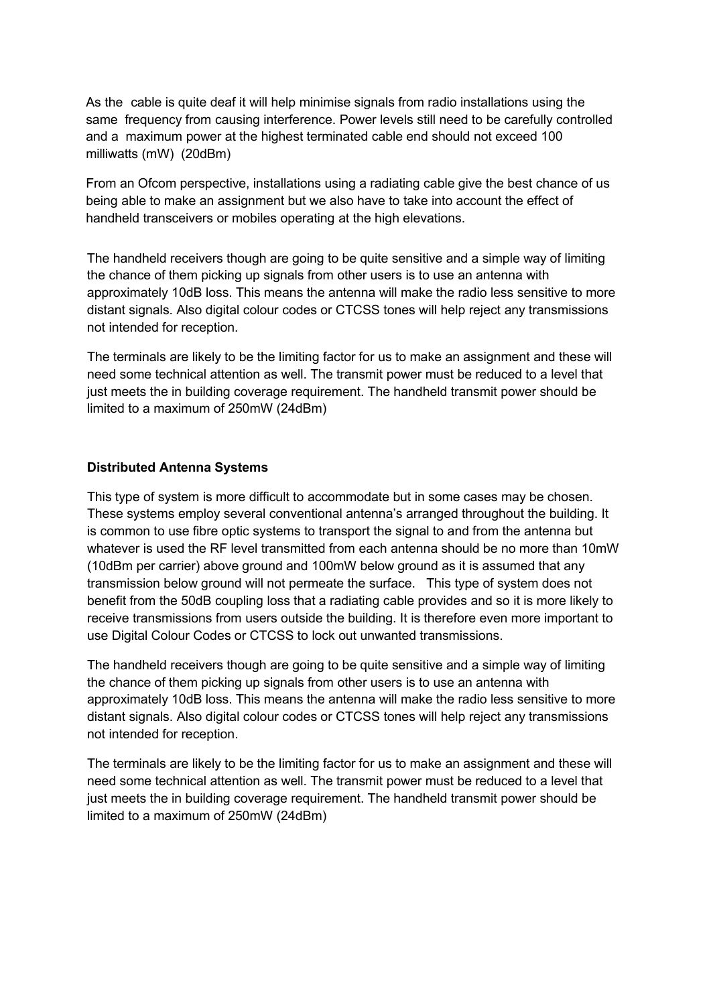As the cable is quite deaf it will help minimise signals from radio installations using the same frequency from causing interference. Power levels still need to be carefully controlled and a maximum power at the highest terminated cable end should not exceed 100 milliwatts (mW) (20dBm)

From an Ofcom perspective, installations using a radiating cable give the best chance of us being able to make an assignment but we also have to take into account the effect of handheld transceivers or mobiles operating at the high elevations.

The handheld receivers though are going to be quite sensitive and a simple way of limiting the chance of them picking up signals from other users is to use an antenna with approximately 10dB loss. This means the antenna will make the radio less sensitive to more distant signals. Also digital colour codes or CTCSS tones will help reject any transmissions not intended for reception.

The terminals are likely to be the limiting factor for us to make an assignment and these will need some technical attention as well. The transmit power must be reduced to a level that just meets the in building coverage requirement. The handheld transmit power should be limited to a maximum of 250mW (24dBm)

#### **Distributed Antenna Systems**

This type of system is more difficult to accommodate but in some cases may be chosen. These systems employ several conventional antenna's arranged throughout the building. It is common to use fibre optic systems to transport the signal to and from the antenna but whatever is used the RF level transmitted from each antenna should be no more than 10mW (10dBm per carrier) above ground and 100mW below ground as it is assumed that any transmission below ground will not permeate the surface. This type of system does not benefit from the 50dB coupling loss that a radiating cable provides and so it is more likely to receive transmissions from users outside the building. It is therefore even more important to use Digital Colour Codes or CTCSS to lock out unwanted transmissions.

The handheld receivers though are going to be quite sensitive and a simple way of limiting the chance of them picking up signals from other users is to use an antenna with approximately 10dB loss. This means the antenna will make the radio less sensitive to more distant signals. Also digital colour codes or CTCSS tones will help reject any transmissions not intended for reception.

The terminals are likely to be the limiting factor for us to make an assignment and these will need some technical attention as well. The transmit power must be reduced to a level that just meets the in building coverage requirement. The handheld transmit power should be limited to a maximum of 250mW (24dBm)